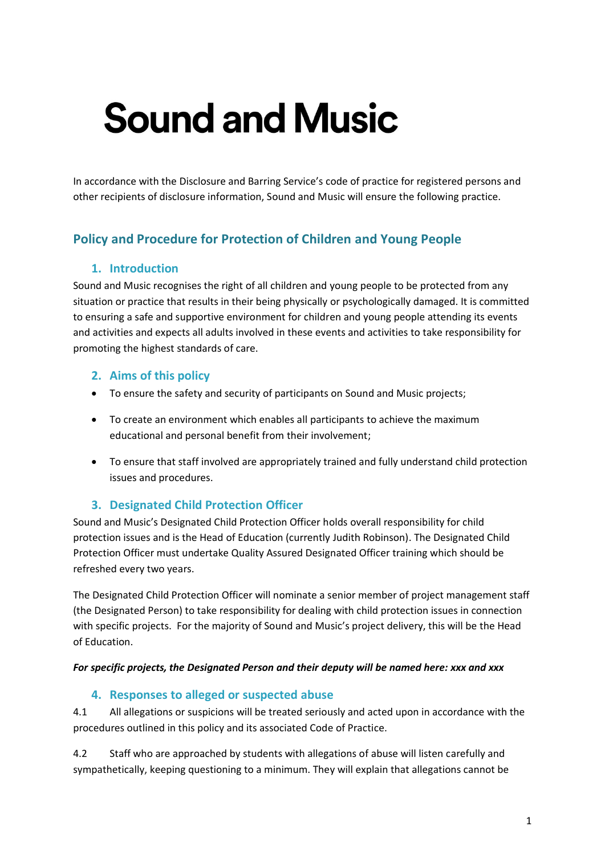# **Sound and Music**

In accordance with the Disclosure and Barring Service's code of practice for registered persons and other recipients of disclosure information, Sound and Music will ensure the following practice.

# **Policy and Procedure for Protection of Children and Young People**

## **1. Introduction**

Sound and Music recognises the right of all children and young people to be protected from any situation or practice that results in their being physically or psychologically damaged. It is committed to ensuring a safe and supportive environment for children and young people attending its events and activities and expects all adults involved in these events and activities to take responsibility for promoting the highest standards of care.

## **2. Aims of this policy**

- To ensure the safety and security of participants on Sound and Music projects;
- To create an environment which enables all participants to achieve the maximum educational and personal benefit from their involvement;
- To ensure that staff involved are appropriately trained and fully understand child protection issues and procedures.

## **3. Designated Child Protection Officer**

Sound and Music's Designated Child Protection Officer holds overall responsibility for child protection issues and is the Head of Education (currently Judith Robinson). The Designated Child Protection Officer must undertake Quality Assured Designated Officer training which should be refreshed every two years.

The Designated Child Protection Officer will nominate a senior member of project management staff (the Designated Person) to take responsibility for dealing with child protection issues in connection with specific projects. For the majority of Sound and Music's project delivery, this will be the Head of Education.

#### *For specific projects, the Designated Person and their deputy will be named here: xxx and xxx*

## **4. Responses to alleged or suspected abuse**

4.1 All allegations or suspicions will be treated seriously and acted upon in accordance with the procedures outlined in this policy and its associated Code of Practice.

4.2 Staff who are approached by students with allegations of abuse will listen carefully and sympathetically, keeping questioning to a minimum. They will explain that allegations cannot be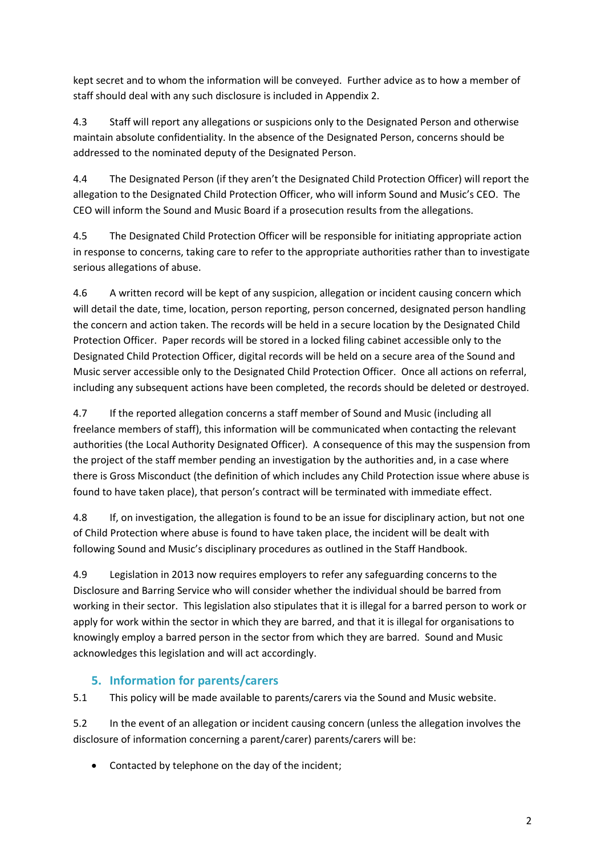kept secret and to whom the information will be conveyed. Further advice as to how a member of staff should deal with any such disclosure is included in Appendix 2.

4.3 Staff will report any allegations or suspicions only to the Designated Person and otherwise maintain absolute confidentiality. In the absence of the Designated Person, concerns should be addressed to the nominated deputy of the Designated Person.

4.4 The Designated Person (if they aren't the Designated Child Protection Officer) will report the allegation to the Designated Child Protection Officer, who will inform Sound and Music's CEO. The CEO will inform the Sound and Music Board if a prosecution results from the allegations.

4.5 The Designated Child Protection Officer will be responsible for initiating appropriate action in response to concerns, taking care to refer to the appropriate authorities rather than to investigate serious allegations of abuse.

4.6 A written record will be kept of any suspicion, allegation or incident causing concern which will detail the date, time, location, person reporting, person concerned, designated person handling the concern and action taken. The records will be held in a secure location by the Designated Child Protection Officer. Paper records will be stored in a locked filing cabinet accessible only to the Designated Child Protection Officer, digital records will be held on a secure area of the Sound and Music server accessible only to the Designated Child Protection Officer. Once all actions on referral, including any subsequent actions have been completed, the records should be deleted or destroyed.

4.7 If the reported allegation concerns a staff member of Sound and Music (including all freelance members of staff), this information will be communicated when contacting the relevant authorities (the Local Authority Designated Officer). A consequence of this may the suspension from the project of the staff member pending an investigation by the authorities and, in a case where there is Gross Misconduct (the definition of which includes any Child Protection issue where abuse is found to have taken place), that person's contract will be terminated with immediate effect.

4.8 If, on investigation, the allegation is found to be an issue for disciplinary action, but not one of Child Protection where abuse is found to have taken place, the incident will be dealt with following Sound and Music's disciplinary procedures as outlined in the Staff Handbook.

4.9 Legislation in 2013 now requires employers to refer any safeguarding concerns to the Disclosure and Barring Service who will consider whether the individual should be barred from working in their sector. This legislation also stipulates that it is illegal for a barred person to work or apply for work within the sector in which they are barred, and that it is illegal for organisations to knowingly employ a barred person in the sector from which they are barred. Sound and Music acknowledges this legislation and will act accordingly.

# **5. Information for parents/carers**

5.1 This policy will be made available to parents/carers via the Sound and Music website.

5.2 In the event of an allegation or incident causing concern (unless the allegation involves the disclosure of information concerning a parent/carer) parents/carers will be:

• Contacted by telephone on the day of the incident;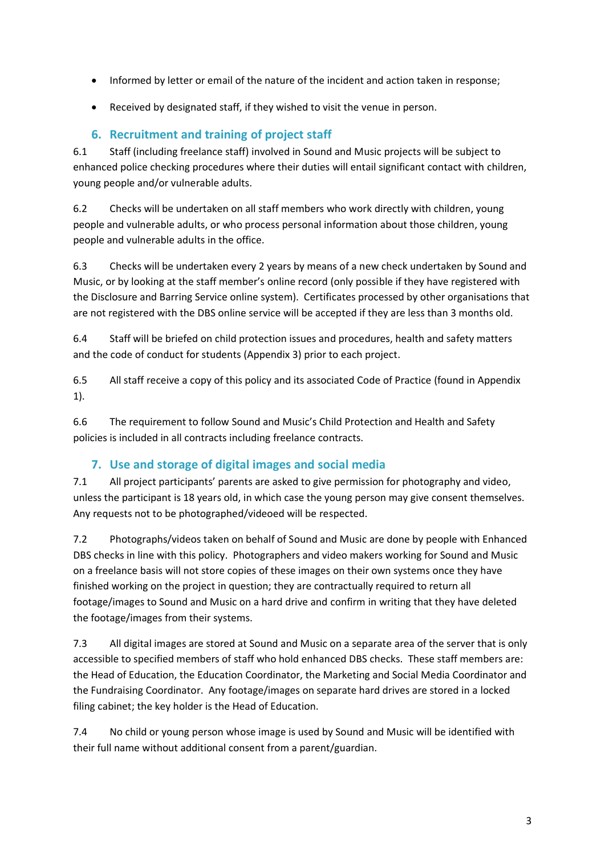- Informed by letter or email of the nature of the incident and action taken in response;
- Received by designated staff, if they wished to visit the venue in person.

## **6. Recruitment and training of project staff**

6.1 Staff (including freelance staff) involved in Sound and Music projects will be subject to enhanced police checking procedures where their duties will entail significant contact with children, young people and/or vulnerable adults.

6.2 Checks will be undertaken on all staff members who work directly with children, young people and vulnerable adults, or who process personal information about those children, young people and vulnerable adults in the office.

6.3 Checks will be undertaken every 2 years by means of a new check undertaken by Sound and Music, or by looking at the staff member's online record (only possible if they have registered with the Disclosure and Barring Service online system). Certificates processed by other organisations that are not registered with the DBS online service will be accepted if they are less than 3 months old.

6.4 Staff will be briefed on child protection issues and procedures, health and safety matters and the code of conduct for students (Appendix 3) prior to each project.

6.5 All staff receive a copy of this policy and its associated Code of Practice (found in Appendix 1).

6.6 The requirement to follow Sound and Music's Child Protection and Health and Safety policies is included in all contracts including freelance contracts.

## **7. Use and storage of digital images and social media**

7.1 All project participants' parents are asked to give permission for photography and video, unless the participant is 18 years old, in which case the young person may give consent themselves. Any requests not to be photographed/videoed will be respected.

7.2 Photographs/videos taken on behalf of Sound and Music are done by people with Enhanced DBS checks in line with this policy. Photographers and video makers working for Sound and Music on a freelance basis will not store copies of these images on their own systems once they have finished working on the project in question; they are contractually required to return all footage/images to Sound and Music on a hard drive and confirm in writing that they have deleted the footage/images from their systems.

7.3 All digital images are stored at Sound and Music on a separate area of the server that is only accessible to specified members of staff who hold enhanced DBS checks. These staff members are: the Head of Education, the Education Coordinator, the Marketing and Social Media Coordinator and the Fundraising Coordinator. Any footage/images on separate hard drives are stored in a locked filing cabinet; the key holder is the Head of Education.

7.4 No child or young person whose image is used by Sound and Music will be identified with their full name without additional consent from a parent/guardian.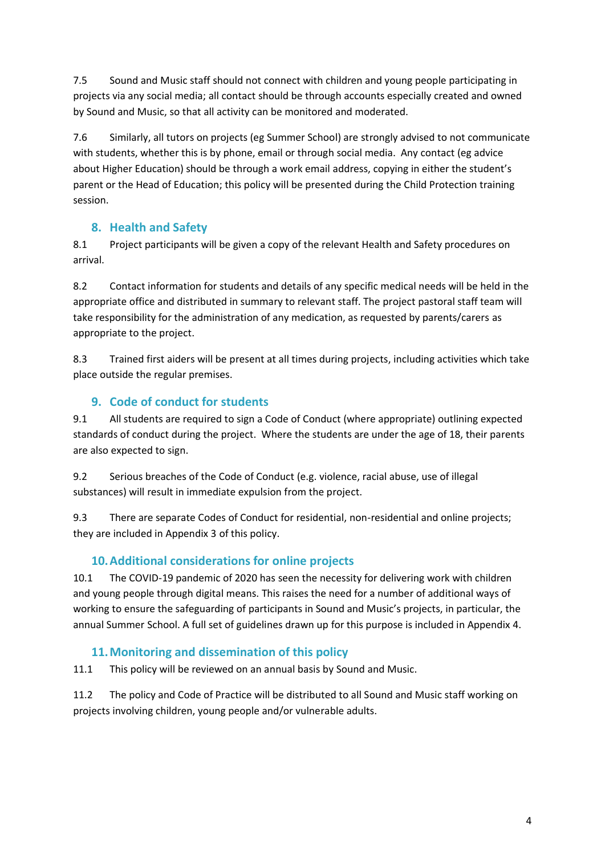7.5 Sound and Music staff should not connect with children and young people participating in projects via any social media; all contact should be through accounts especially created and owned by Sound and Music, so that all activity can be monitored and moderated.

7.6 Similarly, all tutors on projects (eg Summer School) are strongly advised to not communicate with students, whether this is by phone, email or through social media. Any contact (eg advice about Higher Education) should be through a work email address, copying in either the student's parent or the Head of Education; this policy will be presented during the Child Protection training session.

# **8. Health and Safety**

8.1 Project participants will be given a copy of the relevant Health and Safety procedures on arrival.

8.2 Contact information for students and details of any specific medical needs will be held in the appropriate office and distributed in summary to relevant staff. The project pastoral staff team will take responsibility for the administration of any medication, as requested by parents/carers as appropriate to the project.

8.3 Trained first aiders will be present at all times during projects, including activities which take place outside the regular premises.

# **9. Code of conduct for students**

9.1 All students are required to sign a Code of Conduct (where appropriate) outlining expected standards of conduct during the project. Where the students are under the age of 18, their parents are also expected to sign.

9.2 Serious breaches of the Code of Conduct (e.g. violence, racial abuse, use of illegal substances) will result in immediate expulsion from the project.

9.3 There are separate Codes of Conduct for residential, non-residential and online projects; they are included in Appendix 3 of this policy.

# **10.Additional considerations for online projects**

10.1 The COVID-19 pandemic of 2020 has seen the necessity for delivering work with children and young people through digital means. This raises the need for a number of additional ways of working to ensure the safeguarding of participants in Sound and Music's projects, in particular, the annual Summer School. A full set of guidelines drawn up for this purpose is included in Appendix 4.

## **11.Monitoring and dissemination of this policy**

11.1 This policy will be reviewed on an annual basis by Sound and Music.

11.2 The policy and Code of Practice will be distributed to all Sound and Music staff working on projects involving children, young people and/or vulnerable adults.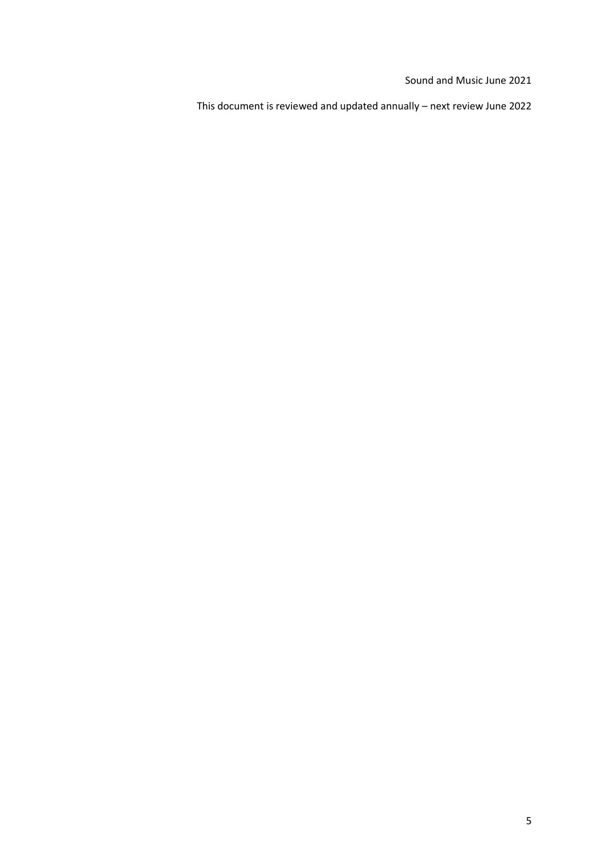Sound and Music June 2021

This document is reviewed and updated annually – next review June 2022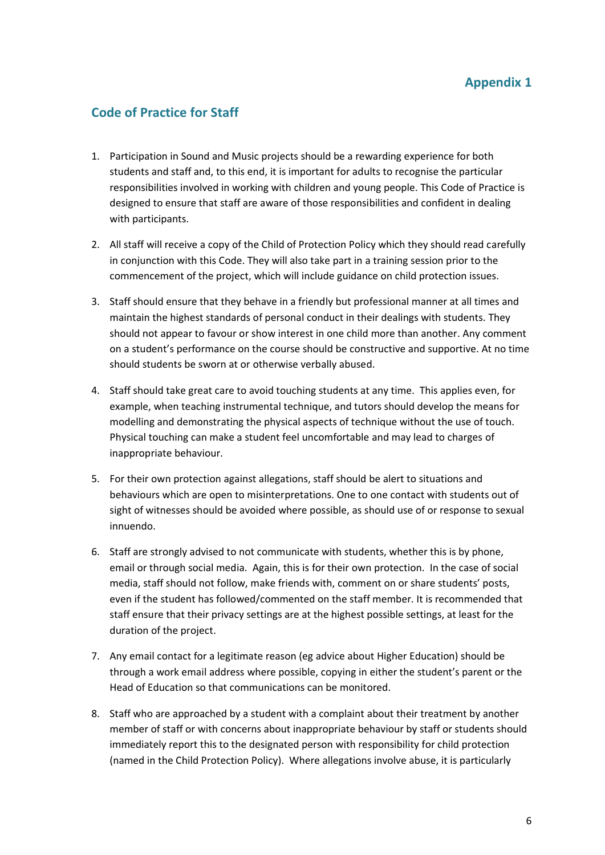# **Code of Practice for Staff**

- 1. Participation in Sound and Music projects should be a rewarding experience for both students and staff and, to this end, it is important for adults to recognise the particular responsibilities involved in working with children and young people. This Code of Practice is designed to ensure that staff are aware of those responsibilities and confident in dealing with participants.
- 2. All staff will receive a copy of the Child of Protection Policy which they should read carefully in conjunction with this Code. They will also take part in a training session prior to the commencement of the project, which will include guidance on child protection issues.
- 3. Staff should ensure that they behave in a friendly but professional manner at all times and maintain the highest standards of personal conduct in their dealings with students. They should not appear to favour or show interest in one child more than another. Any comment on a student's performance on the course should be constructive and supportive. At no time should students be sworn at or otherwise verbally abused.
- 4. Staff should take great care to avoid touching students at any time. This applies even, for example, when teaching instrumental technique, and tutors should develop the means for modelling and demonstrating the physical aspects of technique without the use of touch. Physical touching can make a student feel uncomfortable and may lead to charges of inappropriate behaviour.
- 5. For their own protection against allegations, staff should be alert to situations and behaviours which are open to misinterpretations. One to one contact with students out of sight of witnesses should be avoided where possible, as should use of or response to sexual innuendo.
- 6. Staff are strongly advised to not communicate with students, whether this is by phone, email or through social media. Again, this is for their own protection. In the case of social media, staff should not follow, make friends with, comment on or share students' posts, even if the student has followed/commented on the staff member. It is recommended that staff ensure that their privacy settings are at the highest possible settings, at least for the duration of the project.
- 7. Any email contact for a legitimate reason (eg advice about Higher Education) should be through a work email address where possible, copying in either the student's parent or the Head of Education so that communications can be monitored.
- 8. Staff who are approached by a student with a complaint about their treatment by another member of staff or with concerns about inappropriate behaviour by staff or students should immediately report this to the designated person with responsibility for child protection (named in the Child Protection Policy). Where allegations involve abuse, it is particularly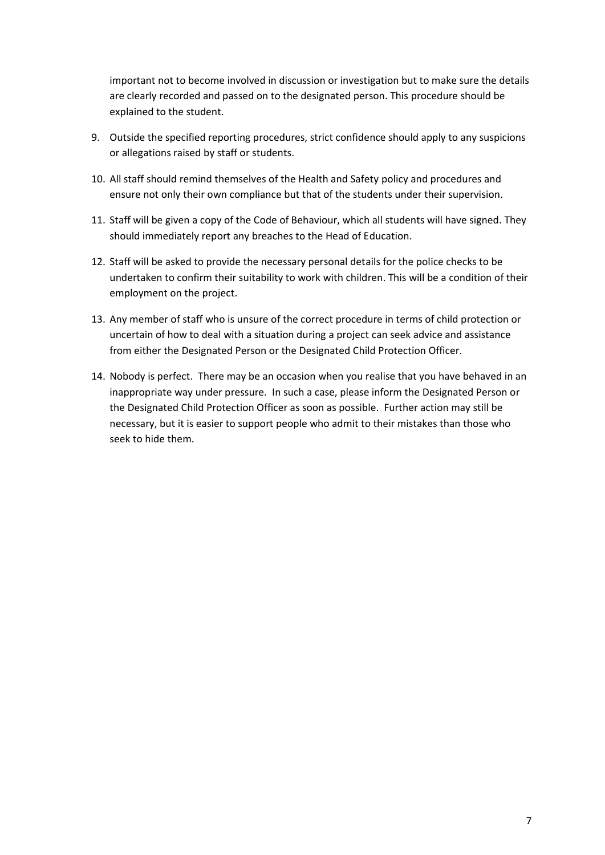important not to become involved in discussion or investigation but to make sure the details are clearly recorded and passed on to the designated person. This procedure should be explained to the student.

- 9. Outside the specified reporting procedures, strict confidence should apply to any suspicions or allegations raised by staff or students.
- 10. All staff should remind themselves of the Health and Safety policy and procedures and ensure not only their own compliance but that of the students under their supervision.
- 11. Staff will be given a copy of the Code of Behaviour, which all students will have signed. They should immediately report any breaches to the Head of Education.
- 12. Staff will be asked to provide the necessary personal details for the police checks to be undertaken to confirm their suitability to work with children. This will be a condition of their employment on the project.
- 13. Any member of staff who is unsure of the correct procedure in terms of child protection or uncertain of how to deal with a situation during a project can seek advice and assistance from either the Designated Person or the Designated Child Protection Officer.
- 14. Nobody is perfect. There may be an occasion when you realise that you have behaved in an inappropriate way under pressure. In such a case, please inform the Designated Person or the Designated Child Protection Officer as soon as possible. Further action may still be necessary, but it is easier to support people who admit to their mistakes than those who seek to hide them.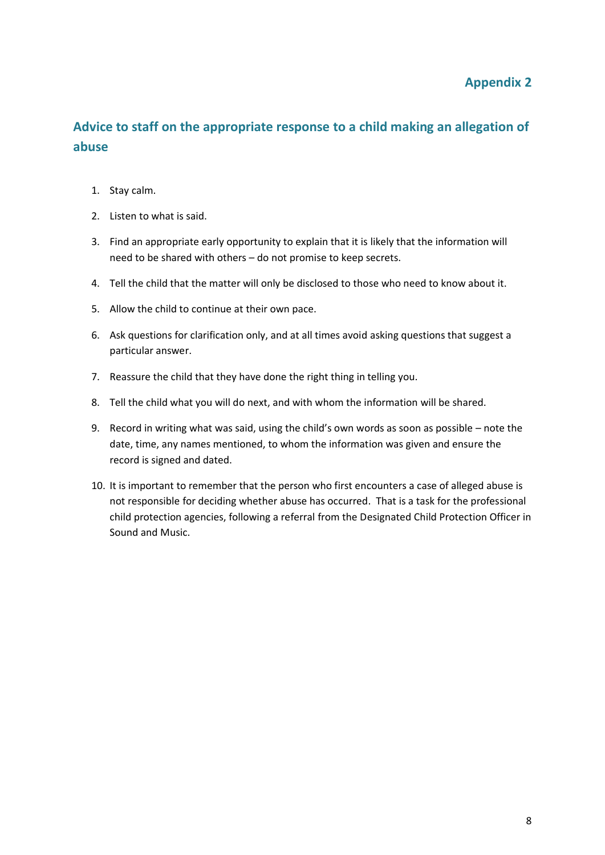## **Appendix 2**

# **Advice to staff on the appropriate response to a child making an allegation of abuse**

- 1. Stay calm.
- 2. Listen to what is said.
- 3. Find an appropriate early opportunity to explain that it is likely that the information will need to be shared with others – do not promise to keep secrets.
- 4. Tell the child that the matter will only be disclosed to those who need to know about it.
- 5. Allow the child to continue at their own pace.
- 6. Ask questions for clarification only, and at all times avoid asking questions that suggest a particular answer.
- 7. Reassure the child that they have done the right thing in telling you.
- 8. Tell the child what you will do next, and with whom the information will be shared.
- 9. Record in writing what was said, using the child's own words as soon as possible note the date, time, any names mentioned, to whom the information was given and ensure the record is signed and dated.
- 10. It is important to remember that the person who first encounters a case of alleged abuse is not responsible for deciding whether abuse has occurred. That is a task for the professional child protection agencies, following a referral from the Designated Child Protection Officer in Sound and Music.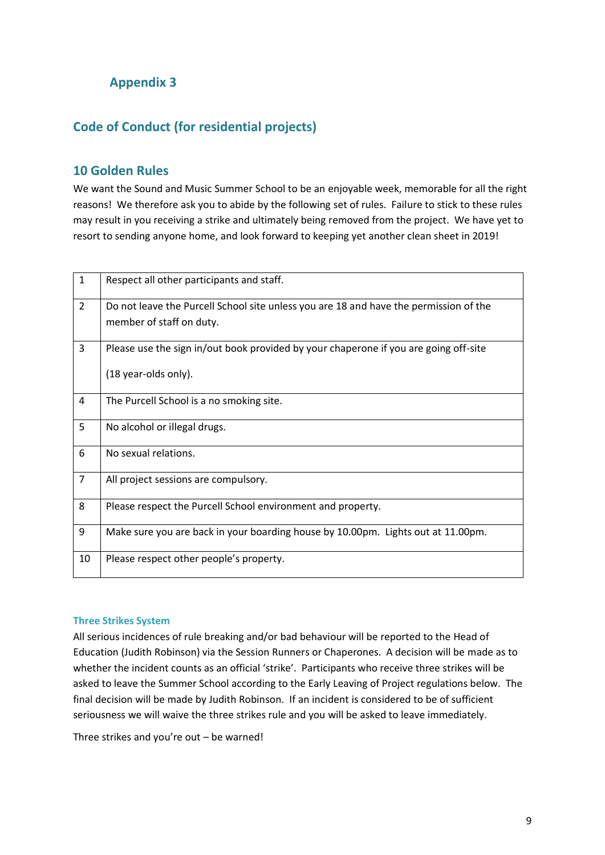# **Appendix 3**

## **Code of Conduct (for residential projects)**

### **10 Golden Rules**

We want the Sound and Music Summer School to be an enjoyable week, memorable for all the right reasons! We therefore ask you to abide by the following set of rules. Failure to stick to these rules may result in you receiving a strike and ultimately being removed from the project. We have yet to resort to sending anyone home, and look forward to keeping yet another clean sheet in 2019!

| $\mathbf{1}$   | Respect all other participants and staff.                                                                         |
|----------------|-------------------------------------------------------------------------------------------------------------------|
| $\overline{2}$ | Do not leave the Purcell School site unless you are 18 and have the permission of the<br>member of staff on duty. |
| 3              | Please use the sign in/out book provided by your chaperone if you are going off-site<br>(18 year-olds only).      |
| 4              | The Purcell School is a no smoking site.                                                                          |
| 5              | No alcohol or illegal drugs.                                                                                      |
| 6              | No sexual relations.                                                                                              |
| $\overline{7}$ | All project sessions are compulsory.                                                                              |
| 8              | Please respect the Purcell School environment and property.                                                       |
| 9              | Make sure you are back in your boarding house by 10.00pm. Lights out at 11.00pm.                                  |
| 10             | Please respect other people's property.                                                                           |

#### **Three Strikes System**

All serious incidences of rule breaking and/or bad behaviour will be reported to the Head of Education (Judith Robinson) via the Session Runners or Chaperones. A decision will be made as to whether the incident counts as an official 'strike'. Participants who receive three strikes will be asked to leave the Summer School according to the Early Leaving of Project regulations below. The final decision will be made by Judith Robinson. If an incident is considered to be of sufficient seriousness we will waive the three strikes rule and you will be asked to leave immediately.

Three strikes and you're out – be warned!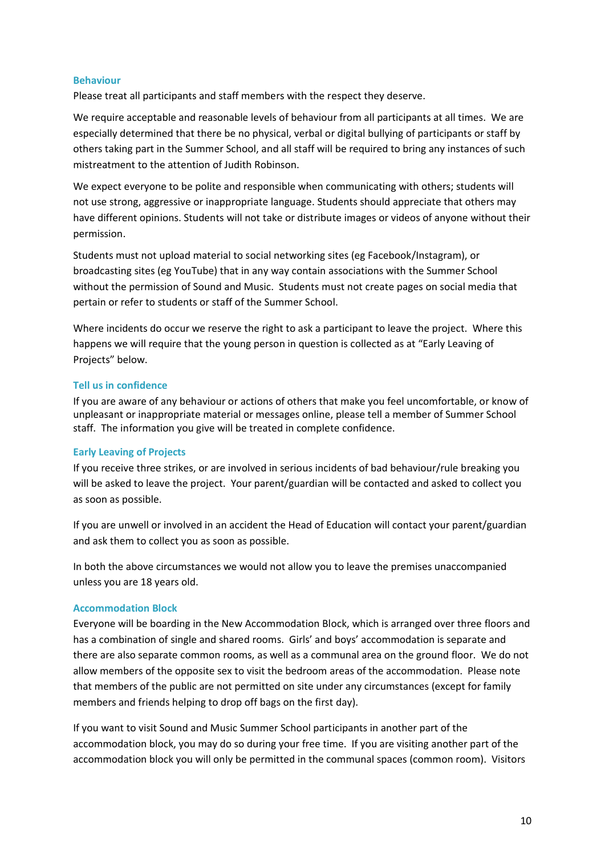#### **Behaviour**

Please treat all participants and staff members with the respect they deserve.

We require acceptable and reasonable levels of behaviour from all participants at all times. We are especially determined that there be no physical, verbal or digital bullying of participants or staff by others taking part in the Summer School, and all staff will be required to bring any instances of such mistreatment to the attention of Judith Robinson.

We expect everyone to be polite and responsible when communicating with others; students will not use strong, aggressive or inappropriate language. Students should appreciate that others may have different opinions. Students will not take or distribute images or videos of anyone without their permission.

Students must not upload material to social networking sites (eg Facebook/Instagram), or broadcasting sites (eg YouTube) that in any way contain associations with the Summer School without the permission of Sound and Music. Students must not create pages on social media that pertain or refer to students or staff of the Summer School.

Where incidents do occur we reserve the right to ask a participant to leave the project. Where this happens we will require that the young person in question is collected as at "Early Leaving of Projects" below.

#### **Tell us in confidence**

If you are aware of any behaviour or actions of others that make you feel uncomfortable, or know of unpleasant or inappropriate material or messages online, please tell a member of Summer School staff. The information you give will be treated in complete confidence.

#### **Early Leaving of Projects**

If you receive three strikes, or are involved in serious incidents of bad behaviour/rule breaking you will be asked to leave the project. Your parent/guardian will be contacted and asked to collect you as soon as possible.

If you are unwell or involved in an accident the Head of Education will contact your parent/guardian and ask them to collect you as soon as possible.

In both the above circumstances we would not allow you to leave the premises unaccompanied unless you are 18 years old.

#### **Accommodation Block**

Everyone will be boarding in the New Accommodation Block, which is arranged over three floors and has a combination of single and shared rooms. Girls' and boys' accommodation is separate and there are also separate common rooms, as well as a communal area on the ground floor. We do not allow members of the opposite sex to visit the bedroom areas of the accommodation. Please note that members of the public are not permitted on site under any circumstances (except for family members and friends helping to drop off bags on the first day).

If you want to visit Sound and Music Summer School participants in another part of the accommodation block, you may do so during your free time. If you are visiting another part of the accommodation block you will only be permitted in the communal spaces (common room). Visitors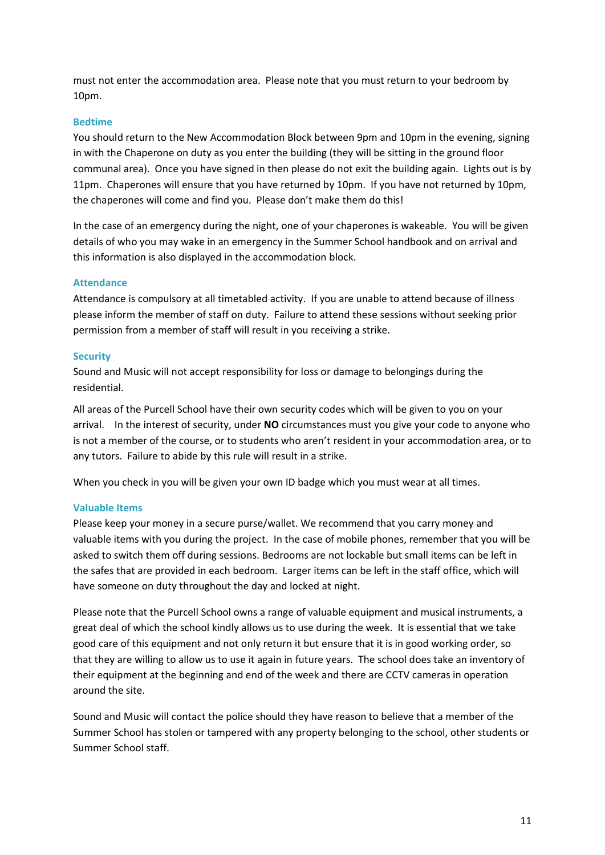must not enter the accommodation area. Please note that you must return to your bedroom by 10pm.

#### **Bedtime**

You should return to the New Accommodation Block between 9pm and 10pm in the evening, signing in with the Chaperone on duty as you enter the building (they will be sitting in the ground floor communal area). Once you have signed in then please do not exit the building again. Lights out is by 11pm. Chaperones will ensure that you have returned by 10pm. If you have not returned by 10pm, the chaperones will come and find you. Please don't make them do this!

In the case of an emergency during the night, one of your chaperones is wakeable. You will be given details of who you may wake in an emergency in the Summer School handbook and on arrival and this information is also displayed in the accommodation block.

#### **Attendance**

Attendance is compulsory at all timetabled activity. If you are unable to attend because of illness please inform the member of staff on duty. Failure to attend these sessions without seeking prior permission from a member of staff will result in you receiving a strike.

#### **Security**

Sound and Music will not accept responsibility for loss or damage to belongings during the residential.

All areas of the Purcell School have their own security codes which will be given to you on your arrival. In the interest of security, under **NO** circumstances must you give your code to anyone who is not a member of the course, or to students who aren't resident in your accommodation area, or to any tutors. Failure to abide by this rule will result in a strike.

When you check in you will be given your own ID badge which you must wear at all times.

#### **Valuable Items**

Please keep your money in a secure purse/wallet. We recommend that you carry money and valuable items with you during the project. In the case of mobile phones, remember that you will be asked to switch them off during sessions. Bedrooms are not lockable but small items can be left in the safes that are provided in each bedroom. Larger items can be left in the staff office, which will have someone on duty throughout the day and locked at night.

Please note that the Purcell School owns a range of valuable equipment and musical instruments, a great deal of which the school kindly allows us to use during the week. It is essential that we take good care of this equipment and not only return it but ensure that it is in good working order, so that they are willing to allow us to use it again in future years. The school does take an inventory of their equipment at the beginning and end of the week and there are CCTV cameras in operation around the site.

Sound and Music will contact the police should they have reason to believe that a member of the Summer School has stolen or tampered with any property belonging to the school, other students or Summer School staff.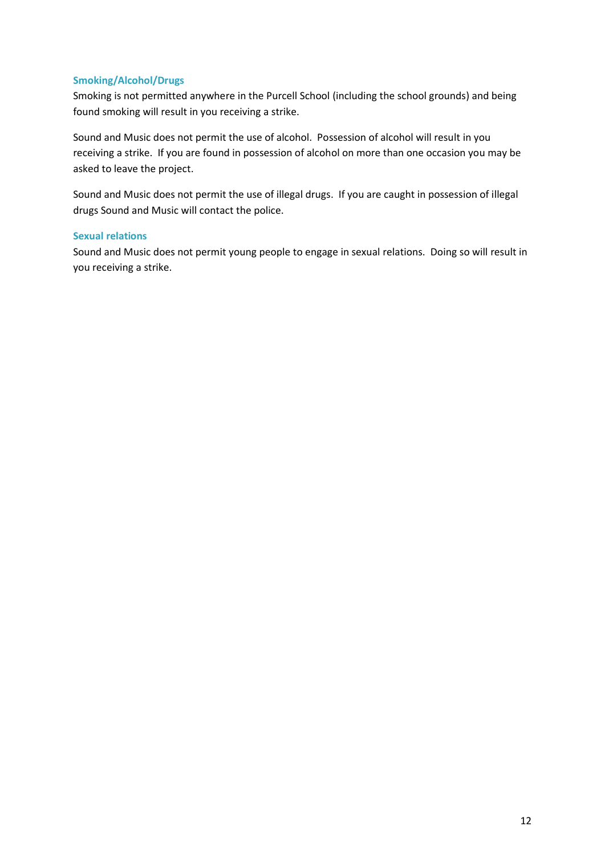#### **Smoking/Alcohol/Drugs**

Smoking is not permitted anywhere in the Purcell School (including the school grounds) and being found smoking will result in you receiving a strike.

Sound and Music does not permit the use of alcohol. Possession of alcohol will result in you receiving a strike. If you are found in possession of alcohol on more than one occasion you may be asked to leave the project.

Sound and Music does not permit the use of illegal drugs. If you are caught in possession of illegal drugs Sound and Music will contact the police.

#### **Sexual relations**

Sound and Music does not permit young people to engage in sexual relations. Doing so will result in you receiving a strike.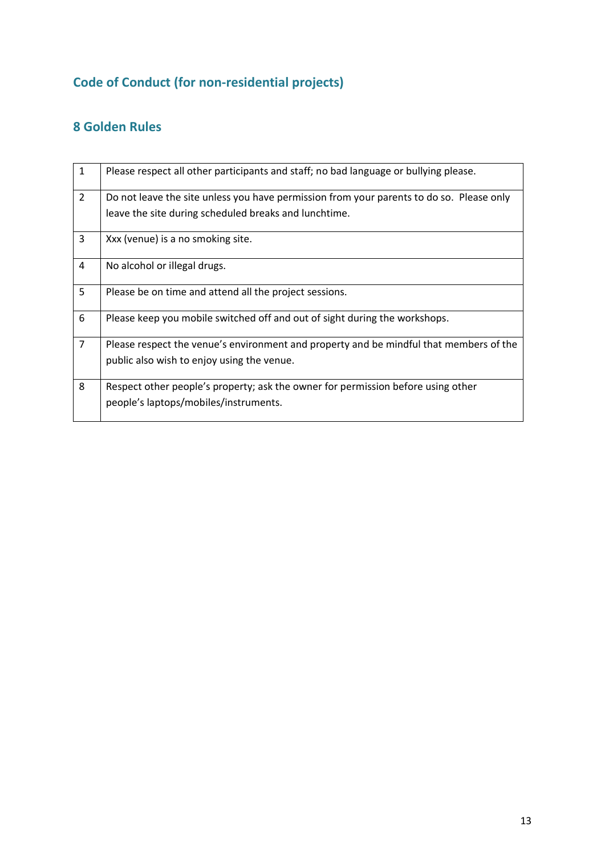# **Code of Conduct (for non-residential projects)**

# **8 Golden Rules**

| $\mathbf{1}$   | Please respect all other participants and staff; no bad language or bullying please.     |
|----------------|------------------------------------------------------------------------------------------|
| $\overline{2}$ | Do not leave the site unless you have permission from your parents to do so. Please only |
|                | leave the site during scheduled breaks and lunchtime.                                    |
| 3              | Xxx (venue) is a no smoking site.                                                        |
| 4              | No alcohol or illegal drugs.                                                             |
| 5              | Please be on time and attend all the project sessions.                                   |
| 6              | Please keep you mobile switched off and out of sight during the workshops.               |
| $\overline{7}$ | Please respect the venue's environment and property and be mindful that members of the   |
|                | public also wish to enjoy using the venue.                                               |
| 8              | Respect other people's property; ask the owner for permission before using other         |
|                | people's laptops/mobiles/instruments.                                                    |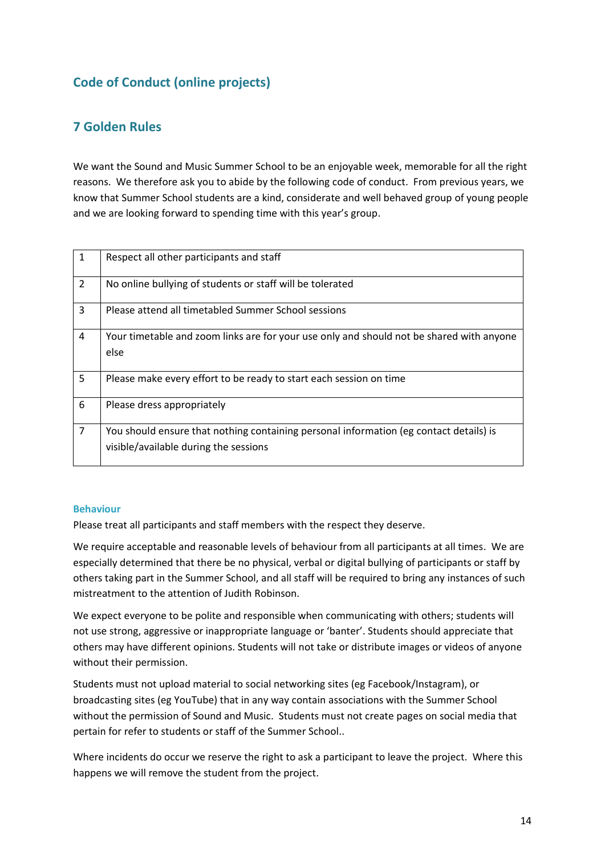# **Code of Conduct (online projects)**

# **7 Golden Rules**

We want the Sound and Music Summer School to be an enjoyable week, memorable for all the right reasons. We therefore ask you to abide by the following code of conduct. From previous years, we know that Summer School students are a kind, considerate and well behaved group of young people and we are looking forward to spending time with this year's group.

| 1              | Respect all other participants and staff                                                                                        |
|----------------|---------------------------------------------------------------------------------------------------------------------------------|
| $\overline{2}$ | No online bullying of students or staff will be tolerated                                                                       |
| 3              | Please attend all timetabled Summer School sessions                                                                             |
| 4              | Your timetable and zoom links are for your use only and should not be shared with anyone<br>else                                |
| 5              | Please make every effort to be ready to start each session on time                                                              |
| 6              | Please dress appropriately                                                                                                      |
| $\overline{7}$ | You should ensure that nothing containing personal information (eg contact details) is<br>visible/available during the sessions |

#### **Behaviour**

Please treat all participants and staff members with the respect they deserve.

We require acceptable and reasonable levels of behaviour from all participants at all times. We are especially determined that there be no physical, verbal or digital bullying of participants or staff by others taking part in the Summer School, and all staff will be required to bring any instances of such mistreatment to the attention of Judith Robinson.

We expect everyone to be polite and responsible when communicating with others; students will not use strong, aggressive or inappropriate language or 'banter'. Students should appreciate that others may have different opinions. Students will not take or distribute images or videos of anyone without their permission.

Students must not upload material to social networking sites (eg Facebook/Instagram), or broadcasting sites (eg YouTube) that in any way contain associations with the Summer School without the permission of Sound and Music. Students must not create pages on social media that pertain for refer to students or staff of the Summer School..

Where incidents do occur we reserve the right to ask a participant to leave the project. Where this happens we will remove the student from the project.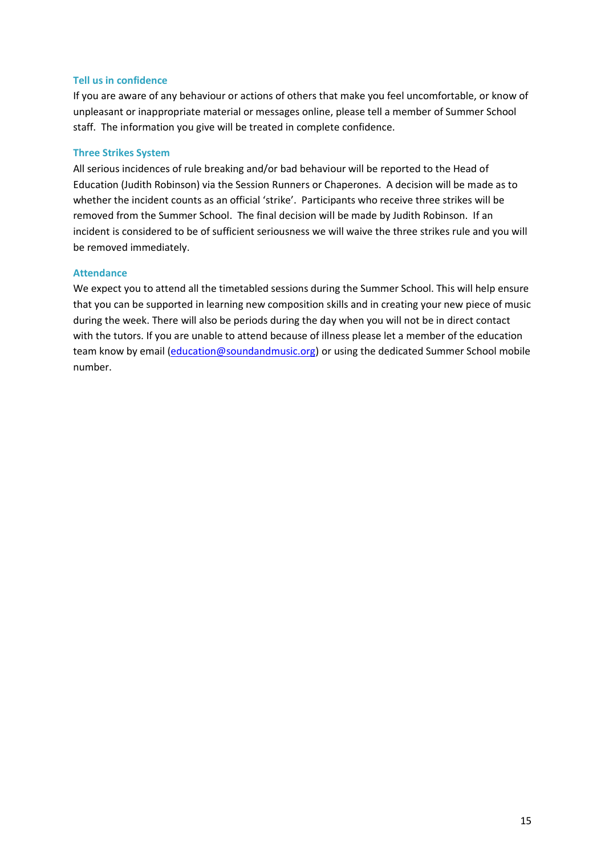#### **Tell us in confidence**

If you are aware of any behaviour or actions of others that make you feel uncomfortable, or know of unpleasant or inappropriate material or messages online, please tell a member of Summer School staff. The information you give will be treated in complete confidence.

#### **Three Strikes System**

All serious incidences of rule breaking and/or bad behaviour will be reported to the Head of Education (Judith Robinson) via the Session Runners or Chaperones. A decision will be made as to whether the incident counts as an official 'strike'. Participants who receive three strikes will be removed from the Summer School. The final decision will be made by Judith Robinson. If an incident is considered to be of sufficient seriousness we will waive the three strikes rule and you will be removed immediately.

#### **Attendance**

We expect you to attend all the timetabled sessions during the Summer School. This will help ensure that you can be supported in learning new composition skills and in creating your new piece of music during the week. There will also be periods during the day when you will not be in direct contact with the tutors. If you are unable to attend because of illness please let a member of the education team know by email [\(education@soundandmusic.org\)](mailto:education@soundandmusic.org) or using the dedicated Summer School mobile number.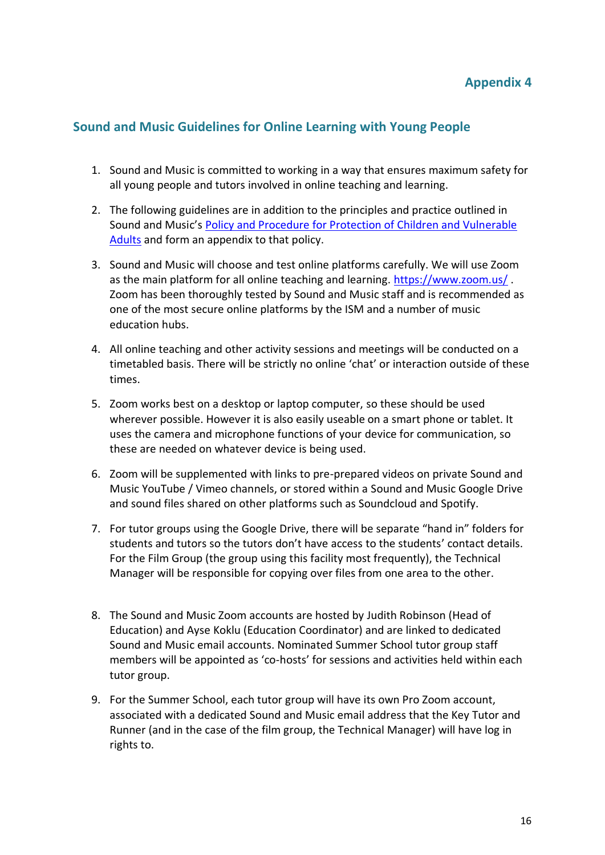# **Appendix 4**

## **Sound and Music Guidelines for Online Learning with Young People**

- 1. Sound and Music is committed to working in a way that ensures maximum safety for all young people and tutors involved in online teaching and learning.
- 2. The following guidelines are in addition to the principles and practice outlined in Sound and Music's [Policy and Procedure for Protection of Children and Vulnerable](https://www.soundandmusic.org/sites/default/files/projects/files/2020_PolicyProcedureforProtectionofChildren_FINAL.pdf)  [Adults](https://www.soundandmusic.org/sites/default/files/projects/files/2020_PolicyProcedureforProtectionofChildren_FINAL.pdf) and form an appendix to that policy.
- 3. Sound and Music will choose and test online platforms carefully. We will use Zoom as the main platform for all online teaching and learning.<https://www.zoom.us/>. Zoom has been thoroughly tested by Sound and Music staff and is recommended as one of the most secure online platforms by the ISM and a number of music education hubs.
- 4. All online teaching and other activity sessions and meetings will be conducted on a timetabled basis. There will be strictly no online 'chat' or interaction outside of these times.
- 5. Zoom works best on a desktop or laptop computer, so these should be used wherever possible. However it is also easily useable on a smart phone or tablet. It uses the camera and microphone functions of your device for communication, so these are needed on whatever device is being used.
- 6. Zoom will be supplemented with links to pre-prepared videos on private Sound and Music YouTube / Vimeo channels, or stored within a Sound and Music Google Drive and sound files shared on other platforms such as Soundcloud and Spotify.
- 7. For tutor groups using the Google Drive, there will be separate "hand in" folders for students and tutors so the tutors don't have access to the students' contact details. For the Film Group (the group using this facility most frequently), the Technical Manager will be responsible for copying over files from one area to the other.
- 8. The Sound and Music Zoom accounts are hosted by Judith Robinson (Head of Education) and Ayse Koklu (Education Coordinator) and are linked to dedicated Sound and Music email accounts. Nominated Summer School tutor group staff members will be appointed as 'co-hosts' for sessions and activities held within each tutor group.
- 9. For the Summer School, each tutor group will have its own Pro Zoom account, associated with a dedicated Sound and Music email address that the Key Tutor and Runner (and in the case of the film group, the Technical Manager) will have log in rights to.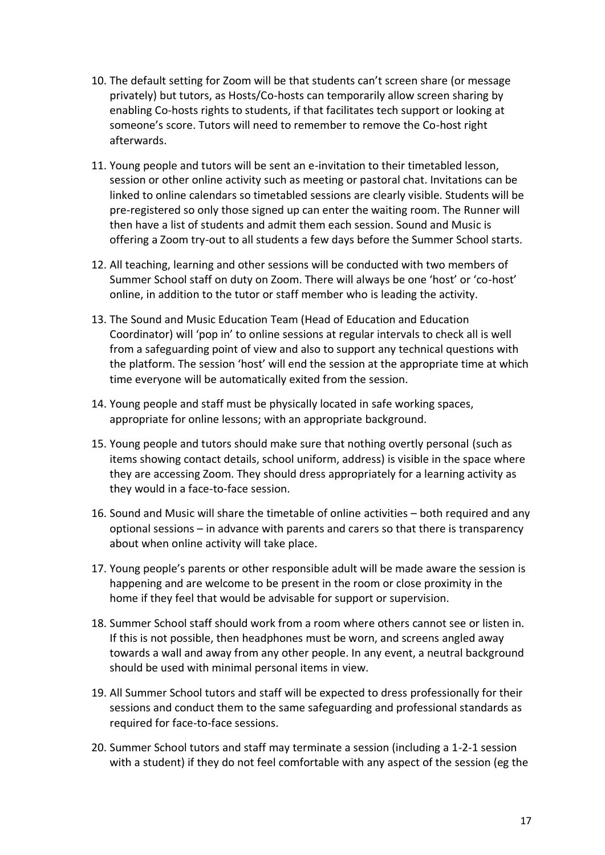- 10. The default setting for Zoom will be that students can't screen share (or message privately) but tutors, as Hosts/Co-hosts can temporarily allow screen sharing by enabling Co-hosts rights to students, if that facilitates tech support or looking at someone's score. Tutors will need to remember to remove the Co-host right afterwards.
- 11. Young people and tutors will be sent an e-invitation to their timetabled lesson, session or other online activity such as meeting or pastoral chat. Invitations can be linked to online calendars so timetabled sessions are clearly visible. Students will be pre-registered so only those signed up can enter the waiting room. The Runner will then have a list of students and admit them each session. Sound and Music is offering a Zoom try-out to all students a few days before the Summer School starts.
- 12. All teaching, learning and other sessions will be conducted with two members of Summer School staff on duty on Zoom. There will always be one 'host' or 'co-host' online, in addition to the tutor or staff member who is leading the activity.
- 13. The Sound and Music Education Team (Head of Education and Education Coordinator) will 'pop in' to online sessions at regular intervals to check all is well from a safeguarding point of view and also to support any technical questions with the platform. The session 'host' will end the session at the appropriate time at which time everyone will be automatically exited from the session.
- 14. Young people and staff must be physically located in safe working spaces, appropriate for online lessons; with an appropriate background.
- 15. Young people and tutors should make sure that nothing overtly personal (such as items showing contact details, school uniform, address) is visible in the space where they are accessing Zoom. They should dress appropriately for a learning activity as they would in a face-to-face session.
- 16. Sound and Music will share the timetable of online activities both required and any optional sessions – in advance with parents and carers so that there is transparency about when online activity will take place.
- 17. Young people's parents or other responsible adult will be made aware the session is happening and are welcome to be present in the room or close proximity in the home if they feel that would be advisable for support or supervision.
- 18. Summer School staff should work from a room where others cannot see or listen in. If this is not possible, then headphones must be worn, and screens angled away towards a wall and away from any other people. In any event, a neutral background should be used with minimal personal items in view.
- 19. All Summer School tutors and staff will be expected to dress professionally for their sessions and conduct them to the same safeguarding and professional standards as required for face-to-face sessions.
- 20. Summer School tutors and staff may terminate a session (including a 1-2-1 session with a student) if they do not feel comfortable with any aspect of the session (eg the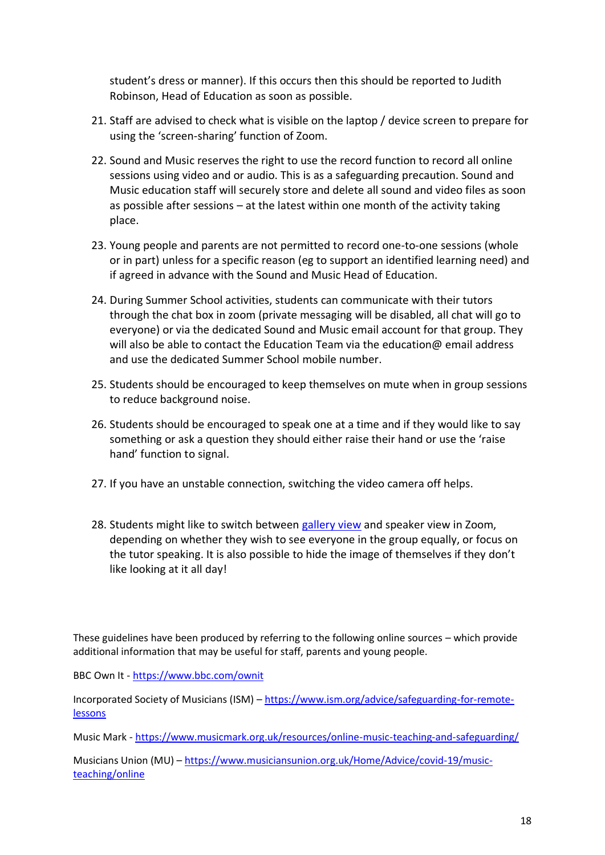student's dress or manner). If this occurs then this should be reported to Judith Robinson, Head of Education as soon as possible.

- 21. Staff are advised to check what is visible on the laptop / device screen to prepare for using the 'screen-sharing' function of Zoom.
- 22. Sound and Music reserves the right to use the record function to record all online sessions using video and or audio. This is as a safeguarding precaution. Sound and Music education staff will securely store and delete all sound and video files as soon as possible after sessions – at the latest within one month of the activity taking place.
- 23. Young people and parents are not permitted to record one-to-one sessions (whole or in part) unless for a specific reason (eg to support an identified learning need) and if agreed in advance with the Sound and Music Head of Education.
- 24. During Summer School activities, students can communicate with their tutors through the chat box in zoom (private messaging will be disabled, all chat will go to everyone) or via the dedicated Sound and Music email account for that group. They will also be able to contact the Education Team via the education  $\omega$  email address and use the dedicated Summer School mobile number.
- 25. Students should be encouraged to keep themselves on mute when in group sessions to reduce background noise.
- 26. Students should be encouraged to speak one at a time and if they would like to say something or ask a question they should either raise their hand or use the 'raise hand' function to signal.
- 27. If you have an unstable connection, switching the video camera off helps.
- 28. Students might like to switch between [gallery view](https://support.zoom.us/hc/en-us/articles/360000005883-Displaying-participants-in-gallery-view) and speaker view in Zoom, depending on whether they wish to see everyone in the group equally, or focus on the tutor speaking. It is also possible to hide the image of themselves if they don't like looking at it all day!

These guidelines have been produced by referring to the following online sources – which provide additional information that may be useful for staff, parents and young people.

BBC Own It - <https://www.bbc.com/ownit>

Incorporated Society of Musicians (ISM) – [https://www.ism.org/advice/safeguarding-for-remote](https://www.ism.org/advice/safeguarding-for-remote-lessons)[lessons](https://www.ism.org/advice/safeguarding-for-remote-lessons)

Music Mark - <https://www.musicmark.org.uk/resources/online-music-teaching-and-safeguarding/>

Musicians Union (MU) – [https://www.musiciansunion.org.uk/Home/Advice/covid-19/music](https://www.musiciansunion.org.uk/Home/Advice/covid-19/music-teaching/online)[teaching/online](https://www.musiciansunion.org.uk/Home/Advice/covid-19/music-teaching/online)